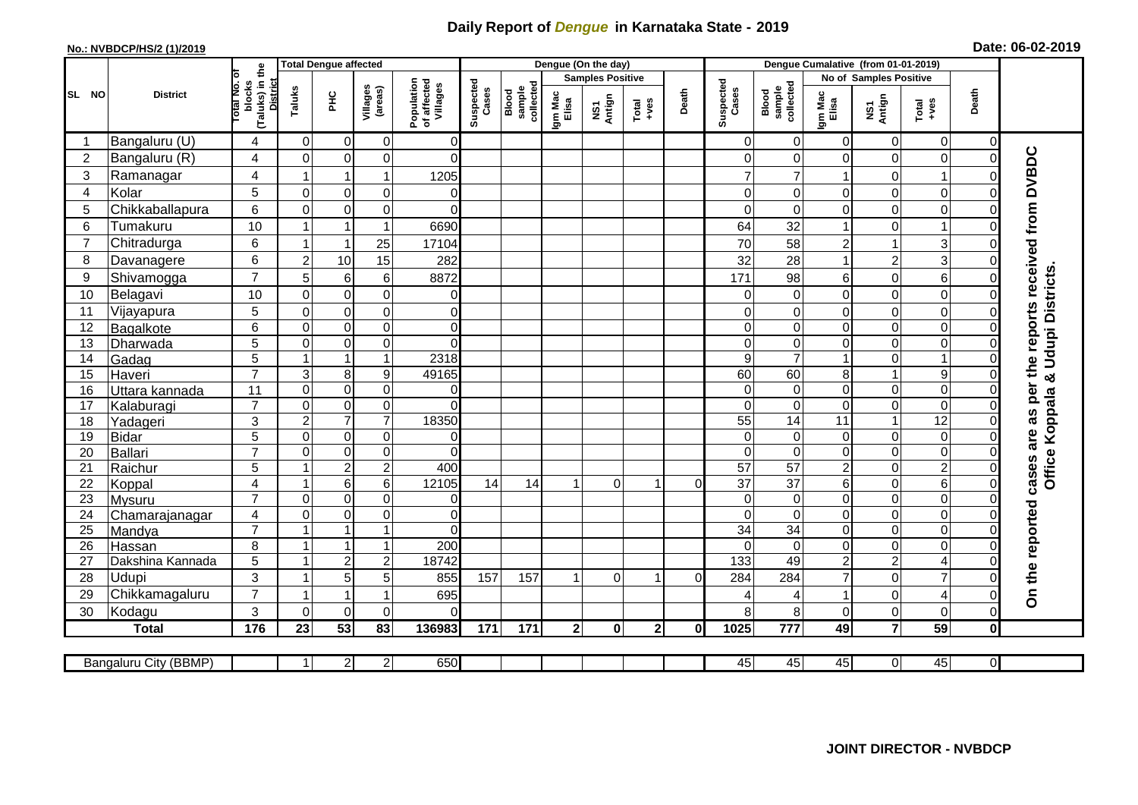## **Daily Report of** *Dengue* **in Karnataka State - 2019**

## **No.: NVBDCP/HS/2 (1)/2019**

|  |  | Date: 06-02-2019 |
|--|--|------------------|
|--|--|------------------|

|                       | <b>Total Dengue affected</b> |                                                   |                                         |                         |                     |                                       | Dengue (On the day) |                              |                  |                         |               |          |                                    | Dengue Cumalative (from 01-01-2019) |                         |                            |                           |                      |                                     |  |
|-----------------------|------------------------------|---------------------------------------------------|-----------------------------------------|-------------------------|---------------------|---------------------------------------|---------------------|------------------------------|------------------|-------------------------|---------------|----------|------------------------------------|-------------------------------------|-------------------------|----------------------------|---------------------------|----------------------|-------------------------------------|--|
|                       |                              | ō                                                 |                                         |                         |                     |                                       |                     |                              |                  | <b>Samples Positive</b> |               |          |                                    |                                     | No of Samples Positive  |                            |                           |                      |                                     |  |
| SL NO                 | <b>District</b>              | (Taluks) in the<br>District<br>otal No.<br>blocks | Taluks                                  | ЭH                      | Villages<br>(areas) | Population<br>of affected<br>Villages | Suspected<br>Cases  | Blood<br>sample<br>collected | Igm Mac<br>Elisa | NS1<br>Antign           | Total<br>+ves | Death    | Suspected<br>Cases                 | collected<br><b>Blood</b><br>sample | Igm Mac<br>Elisa        | NS1<br>Antign              | Total<br>+ves             | Death                |                                     |  |
| -1                    | Bangaluru (U)                | 4                                                 | $\mathbf 0$                             | $\overline{0}$          | 0                   | $\Omega$                              |                     |                              |                  |                         |               |          | $\overline{0}$                     | 0                                   | 0                       | 0                          | $\overline{0}$            | $\overline{0}$       |                                     |  |
| $\overline{c}$        | Bangaluru (R)                | $\overline{4}$                                    | $\mathbf 0$                             | $\boldsymbol{0}$        | $\mathsf 0$         | $\mathbf 0$                           |                     |                              |                  |                         |               |          | $\overline{0}$                     | 0                                   | $\mathbf 0$             | $\mathbf 0$                | $\mathsf 0$               | $\Omega$             | per the reports received from DVBDC |  |
| 3                     | Ramanagar                    | 4                                                 | -1                                      |                         | 1                   | 1205                                  |                     |                              |                  |                         |               |          | $\overline{7}$                     | 7                                   | 1                       | $\mathbf 0$                | $\overline{1}$            |                      |                                     |  |
| $\overline{4}$        | Kolar                        | 5                                                 | $\mathbf 0$                             | $\pmb{0}$               | 0                   | 0                                     |                     |                              |                  |                         |               |          | $\overline{0}$                     | 0                                   | 0                       | $\mathbf 0$                | 0                         | 0                    |                                     |  |
| 5                     | Chikkaballapura              | 6                                                 | $\mathbf 0$                             | $\mathbf 0$             | $\mathbf 0$         | $\mathbf 0$                           |                     |                              |                  |                         |               |          | $\overline{0}$                     | $\Omega$                            | $\mathbf 0$             | $\mathbf 0$                | $\mathbf 0$               |                      |                                     |  |
| 6                     | Tumakuru                     | 10                                                |                                         | 1                       | 1                   | 6690                                  |                     |                              |                  |                         |               |          | 64                                 | 32                                  | $\overline{1}$          | 0                          | $\overline{1}$            |                      |                                     |  |
| $\overline{7}$        | Chitradurga                  | 6                                                 | $\overline{1}$                          | $\mathbf{1}$            | 25                  | 17104                                 |                     |                              |                  |                         |               |          | 70                                 | 58                                  | $\overline{c}$          | $\overline{1}$             | $\overline{3}$            |                      |                                     |  |
| 8                     | Davanagere                   | 6                                                 | $\overline{c}$                          | 10                      | 15                  | 282                                   |                     |                              |                  |                         |               |          | 32                                 | 28                                  | $\mathbf{1}$            | $\overline{c}$             | 3                         |                      |                                     |  |
| 9                     | Shivamogga                   | $\overline{7}$                                    | 5                                       | 6                       | 6                   | 8872                                  |                     |                              |                  |                         |               |          | 171                                | 98                                  | 6                       | $\mathbf 0$                | 6                         |                      |                                     |  |
| 10                    | Belagavi                     | 10                                                | $\mathbf 0$                             | $\pmb{0}$               | $\mathbf 0$         | 0                                     |                     |                              |                  |                         |               |          | $\overline{0}$                     | $\mathbf 0$                         | $\mathbf 0$             | $\mathbf 0$                | $\mathbf 0$               | 0                    | Office Koppala & Udupi Districts    |  |
| 11                    | Vijayapura                   | 5                                                 | $\mathbf 0$                             | $\boldsymbol{0}$        | $\mathsf 0$         | $\mathbf 0$                           |                     |                              |                  |                         |               |          | $\overline{0}$                     | $\mathbf 0$                         | $\mathbf 0$             | $\mathbf 0$                | $\mathbf 0$               | $\Omega$             |                                     |  |
| 12                    | Bagalkote                    | 6                                                 | $\mathbf 0$                             | $\mathbf 0$             | $\mathsf 0$         | $\overline{0}$                        |                     |                              |                  |                         |               |          | $\overline{0}$                     | $\mathbf 0$                         | $\mathbf 0$             | $\mathbf 0$                | $\mathbf 0$               | $\Omega$             |                                     |  |
| 13                    | Dharwada                     | 5                                                 | $\mathbf 0$                             | $\mathsf{O}\xspace$     | 0                   | $\overline{0}$                        |                     |                              |                  |                         |               |          | $\Omega$                           | $\mathbf 0$                         | $\mathbf 0$             | $\mathbf 0$                | $\overline{0}$            | $\Omega$             |                                     |  |
| 14                    | Gadag                        | $\overline{5}$                                    | 1                                       | $\overline{1}$          | $\overline{1}$      | 2318                                  |                     |                              |                  |                         |               |          | $\overline{9}$                     | $\overline{7}$                      | $\overline{1}$          | $\mathbf 0$                | $\overline{1}$            | $\Omega$             |                                     |  |
| 15                    | Haveri                       | $\overline{7}$                                    | 3                                       | $\bf 8$                 | 9                   | 49165                                 |                     |                              |                  |                         |               |          | 60                                 | 60                                  | 8                       | $\mathbf{1}$               | 9                         | 0                    |                                     |  |
| 16                    | Uttara kannada               | 11                                                | $\Omega$                                | $\mathbf 0$             | $\mathbf 0$         | $\Omega$                              |                     |                              |                  |                         |               |          | 0                                  | $\Omega$                            | $\overline{0}$          | $\Omega$                   | $\mathbf 0$               | $\Omega$             |                                     |  |
| 17                    | Kalaburagi                   | $\overline{7}$                                    | $\mathbf 0$                             | $\mathbf 0$             | $\mathbf 0$         | $\Omega$                              |                     |                              |                  |                         |               |          | $\Omega$                           | $\Omega$                            | $\Omega$                | $\mathbf 0$                | 0                         | $\Omega$             | as                                  |  |
| 18                    | Yadageri                     | 3                                                 | $\overline{c}$                          | $\overline{7}$          | $\overline{7}$      | 18350                                 |                     |                              |                  |                         |               |          | 55                                 | 14                                  | 11                      | $\overline{1}$             | 12                        |                      |                                     |  |
| 19                    | <b>Bidar</b>                 | 5                                                 | 0                                       | $\mathbf 0$             | 0                   | $\Omega$                              |                     |                              |                  |                         |               |          | $\overline{0}$                     | 0                                   | 0                       | 0                          | $\mathsf 0$               | 0                    |                                     |  |
| 20                    | Ballari                      | $\overline{7}$                                    | $\mathbf{0}$<br>$\overline{\mathbf{1}}$ | $\mathsf{O}\xspace$     | $\mathsf 0$         | $\overline{0}$                        |                     |                              |                  |                         |               |          | $\Omega$                           | $\Omega$                            | $\mathbf 0$             | $\mathbf 0$                | $\mathbf 0$               |                      |                                     |  |
| $\overline{21}$<br>22 | Raichur                      | $\overline{5}$<br>$\overline{\mathbf{4}}$         |                                         | $\overline{2}$<br>$\,6$ | $\overline{2}$<br>6 | 400<br>12105                          | 14                  | 14                           |                  | $\overline{0}$          |               | $\Omega$ | $\overline{57}$<br>$\overline{37}$ | $\overline{57}$<br>$\overline{37}$  | $\overline{2}$<br>$\,6$ | $\mathbf 0$<br>$\mathbf 0$ | $\overline{2}$<br>$\,6\,$ | $\Omega$<br>$\Omega$ | cases are                           |  |
| 23                    | Koppal<br>Mysuru             | $\overline{7}$                                    | $\mathbf 0$                             | $\overline{0}$          | $\mathbf 0$         | $\overline{0}$                        |                     |                              |                  |                         |               |          | $\overline{0}$                     | $\mathbf 0$                         | $\overline{\mathsf{o}}$ | $\mathbf 0$                | $\overline{0}$            | $\Omega$             |                                     |  |
| 24                    | Chamarajanagar               | 4                                                 | $\mathbf 0$                             | $\pmb{0}$               | $\mathbf 0$         | $\mathbf 0$                           |                     |                              |                  |                         |               |          | $\overline{0}$                     | $\mathbf 0$                         | $\mathbf 0$             | $\boldsymbol{0}$           | $\overline{0}$            | 0                    |                                     |  |
| 25                    | Mandya                       | $\overline{7}$                                    |                                         |                         | $\mathbf{1}$        | $\Omega$                              |                     |                              |                  |                         |               |          | 34                                 | 34                                  | 0                       | $\mathbf 0$                | $\mathsf 0$               | $\Omega$             |                                     |  |
| 26                    | Hassan                       | 8                                                 | $\overline{ }$                          | 1                       | 1                   | 200                                   |                     |                              |                  |                         |               |          | $\Omega$                           | $\Omega$                            | $\overline{0}$          | $\Omega$                   | $\mathbf 0$               |                      |                                     |  |
| 27                    | Dakshina Kannada             | 5                                                 | -1                                      | $\overline{2}$          | $\overline{c}$      | 18742                                 |                     |                              |                  |                         |               |          | $\overline{133}$                   | 49                                  | $\overline{c}$          | $\overline{2}$             | 4                         | $\Omega$             |                                     |  |
| 28                    | Udupi                        | 3                                                 | -1                                      | 5                       | 5                   | 855                                   | 157                 | 157                          | $\mathbf 1$      | $\overline{0}$          | 1             | $\Omega$ | 284                                | 284                                 | $\overline{7}$          | $\mathbf 0$                | $\overline{7}$            |                      |                                     |  |
| 29                    | Chikkamagaluru               | $\overline{7}$                                    | -1                                      | -1                      | 1                   | 695                                   |                     |                              |                  |                         |               |          | 4                                  | 4                                   | $\mathbf 1$             | $\mathbf 0$                | $\overline{4}$            |                      | On the reported                     |  |
| 30                    | Kodagu                       | 3                                                 | $\Omega$                                | $\mathbf 0$             | $\Omega$            | $\Omega$                              |                     |                              |                  |                         |               |          | 8 <sup>1</sup>                     | 8                                   | $\Omega$                | $\Omega$                   | $\mathbf 0$               | 0                    |                                     |  |
|                       | <b>Total</b>                 | 176                                               | 23                                      | 53                      | 83                  | 136983                                | 171                 | 171                          | 2 <sub>1</sub>   | $\mathbf{0}$            | $\mathbf{2}$  | 0I       | 1025                               | 777                                 | 49                      | $\overline{7}$             | 59                        | $\mathbf{0}$         |                                     |  |
|                       |                              |                                                   |                                         |                         |                     |                                       |                     |                              |                  |                         |               |          |                                    |                                     |                         |                            |                           |                      |                                     |  |
|                       | Bangaluru City (BBMP)        |                                                   | $\mathbf 1$                             | 2                       | $\overline{c}$      | 650                                   |                     |                              |                  |                         |               |          | 45                                 | 45                                  | 45                      | 0                          | 45                        | $\overline{0}$       |                                     |  |